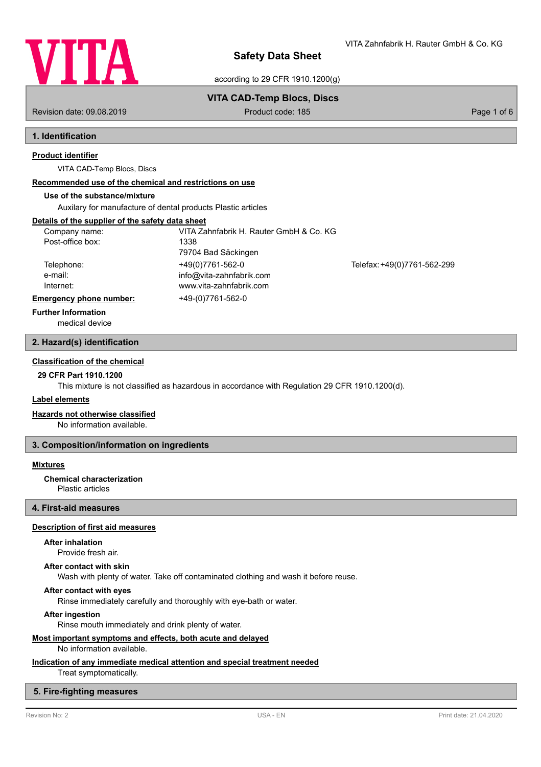

VITA Zahnfabrik H. Rauter GmbH & Co. KG

according to 29 CFR 1910.1200(g)

**VITA CAD-Temp Blocs, Discs**

Revision date: 09.08.2019 **Product code: 185** Product code: 185 **Page 1 of 6** Page 1 of 6

## **1. Identification**

### **Product identifier**

VITA CAD-Temp Blocs, Discs

## **Recommended use of the chemical and restrictions on use**

## **Use of the substance/mixture**

Auxilary for manufacture of dental products Plastic articles

## **Details of the supplier of the safety data sheet**

| Company name:<br>Post-office box: | VITA Zahnfabrik H. Rauter GmbH & Co. KG<br>1338     |                             |
|-----------------------------------|-----------------------------------------------------|-----------------------------|
| Telephone:                        | 79704 Bad Säckingen<br>+49(0)7761-562-0             | Telefax: +49(0)7761-562-299 |
| e-mail:<br>Internet:              | info@vita-zahnfabrik.com<br>www.vita-zahnfabrik.com |                             |
| Emergency phone number:           | +49-(0)7761-562-0                                   |                             |
| <b>Further Information</b>        |                                                     |                             |

medical device

### **2. Hazard(s) identification**

### **Classification of the chemical**

**29 CFR Part 1910.1200**

This mixture is not classified as hazardous in accordance with Regulation 29 CFR 1910.1200(d).

### **Label elements**

#### **Hazards not otherwise classified**

No information available.

### **3. Composition/information on ingredients**

### **Mixtures**

#### **Chemical characterization**

Plastic articles

### **4. First-aid measures**

### **Description of first aid measures**

### **After inhalation**

Provide fresh air.

#### **After contact with skin**

Wash with plenty of water. Take off contaminated clothing and wash it before reuse.

### **After contact with eyes**

Rinse immediately carefully and thoroughly with eye-bath or water.

#### **After ingestion**

Rinse mouth immediately and drink plenty of water.

### **Most important symptoms and effects, both acute and delayed**

No information available.

### **Indication of any immediate medical attention and special treatment needed**

Treat symptomatically.

### **5. Fire-fighting measures**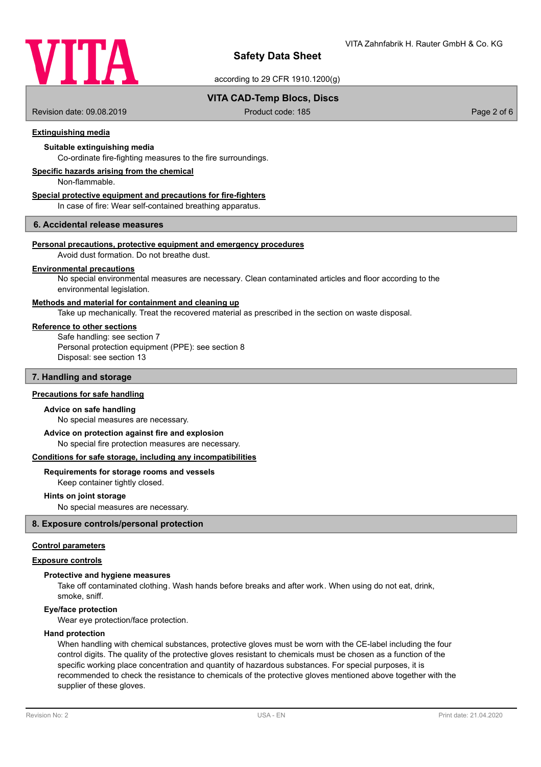

according to 29 CFR 1910.1200(g)

### **VITA CAD-Temp Blocs, Discs**

Revision date: 09.08.2019 **Product code: 185** Page 2 of 6

### **Extinguishing media**

### **Suitable extinguishing media**

Co-ordinate fire-fighting measures to the fire surroundings.

### **Specific hazards arising from the chemical**

Non-flammable.

#### **Special protective equipment and precautions for fire-fighters**

In case of fire: Wear self-contained breathing apparatus.

### **6. Accidental release measures**

### **Personal precautions, protective equipment and emergency procedures**

Avoid dust formation. Do not breathe dust.

#### **Environmental precautions**

No special environmental measures are necessary. Clean contaminated articles and floor according to the environmental legislation.

### **Methods and material for containment and cleaning up**

Take up mechanically. Treat the recovered material as prescribed in the section on waste disposal.

### **Reference to other sections**

Safe handling: see section 7 Personal protection equipment (PPE): see section 8 Disposal: see section 13

#### **7. Handling and storage**

#### **Precautions for safe handling**

#### **Advice on safe handling**

No special measures are necessary.

No special fire protection measures are necessary. **Advice on protection against fire and explosion**

## **Conditions for safe storage, including any incompatibilities**

## **Requirements for storage rooms and vessels**

Keep container tightly closed.

#### **Hints on joint storage**

No special measures are necessary.

### **8. Exposure controls/personal protection**

#### **Control parameters**

#### **Exposure controls**

#### **Protective and hygiene measures**

Take off contaminated clothing. Wash hands before breaks and after work. When using do not eat, drink, smoke, sniff.

#### **Eye/face protection**

Wear eye protection/face protection.

#### **Hand protection**

When handling with chemical substances, protective gloves must be worn with the CE-label including the four control digits. The quality of the protective gloves resistant to chemicals must be chosen as a function of the specific working place concentration and quantity of hazardous substances. For special purposes, it is recommended to check the resistance to chemicals of the protective gloves mentioned above together with the supplier of these gloves.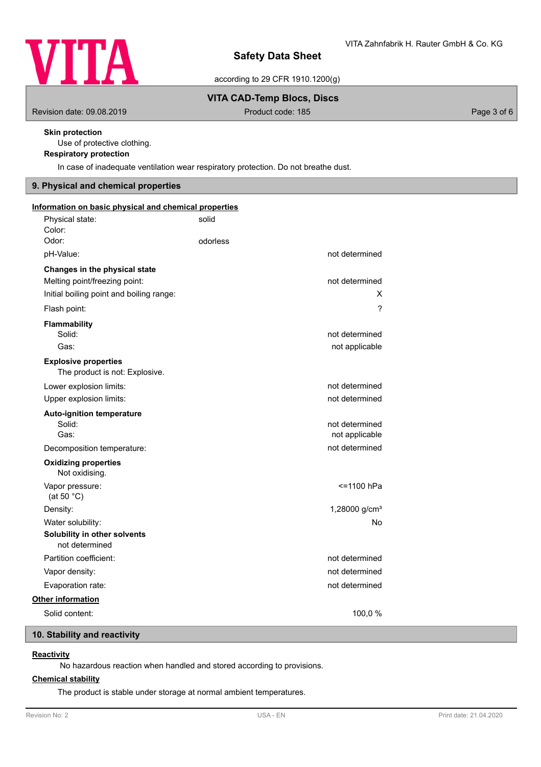

according to 29 CFR 1910.1200(g)

### **VITA CAD-Temp Blocs, Discs**

Revision date: 09.08.2019 **Product code: 185** Product code: 185

### **Skin protection**

Use of protective clothing.

# **Respiratory protection**

In case of inadequate ventilation wear respiratory protection. Do not breathe dust.

## **9. Physical and chemical properties**

| Information on basic physical and chemical properties                                                      |          |                                  |
|------------------------------------------------------------------------------------------------------------|----------|----------------------------------|
| Physical state:<br>Color:                                                                                  | solid    |                                  |
| Odor:                                                                                                      | odorless |                                  |
| pH-Value:                                                                                                  |          | not determined                   |
| Changes in the physical state<br>Melting point/freezing point:<br>Initial boiling point and boiling range: |          | not determined<br>x              |
| Flash point:                                                                                               |          | $\overline{\phantom{0}}$         |
| Flammability<br>Solid:<br>Gas:                                                                             |          | not determined<br>not applicable |
| <b>Explosive properties</b><br>The product is not: Explosive.                                              |          |                                  |
| Lower explosion limits:                                                                                    |          | not determined                   |
| Upper explosion limits:                                                                                    |          | not determined                   |
| <b>Auto-ignition temperature</b><br>Solid:<br>Gas:                                                         |          | not determined<br>not applicable |
| Decomposition temperature:                                                                                 |          | not determined                   |
| <b>Oxidizing properties</b><br>Not oxidising.                                                              |          |                                  |
| Vapor pressure:<br>(at 50 $°C$ )                                                                           |          | <=1100 hPa                       |
| Density:                                                                                                   |          | 1,28000 g/cm <sup>3</sup>        |
| Water solubility:                                                                                          |          | No                               |
| Solubility in other solvents<br>not determined                                                             |          |                                  |
| Partition coefficient:                                                                                     |          | not determined                   |
| Vapor density:                                                                                             |          | not determined                   |
| Evaporation rate:                                                                                          |          | not determined                   |
| Other information                                                                                          |          |                                  |
| Solid content:                                                                                             |          | 100,0%                           |

## **10. Stability and reactivity**

### **Reactivity**

No hazardous reaction when handled and stored according to provisions.

### **Chemical stability**

The product is stable under storage at normal ambient temperatures.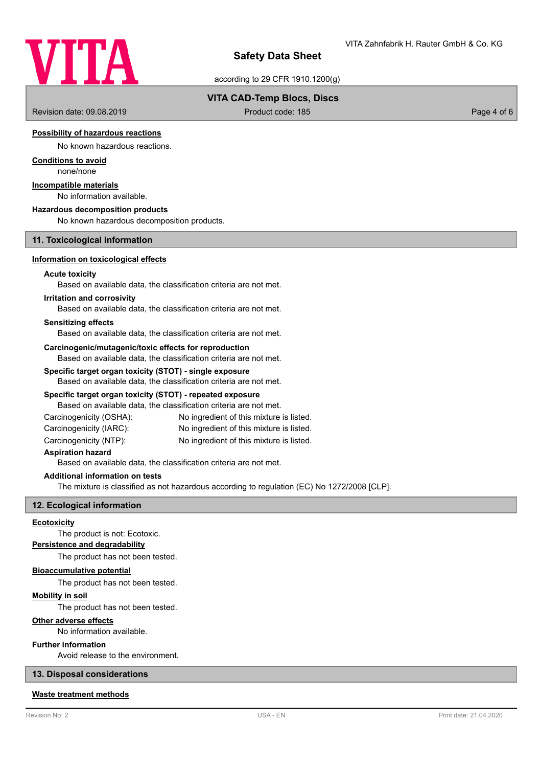

according to 29 CFR 1910.1200(g)

### **VITA CAD-Temp Blocs, Discs**

Revision date: 09.08.2019 **Product code: 185** Product code: 185 Page 4 of 6

### **Possibility of hazardous reactions**

No known hazardous reactions.

# **Conditions to avoid**

none/none

## **Incompatible materials**

No information available.

#### **Hazardous decomposition products**

No known hazardous decomposition products.

### **11. Toxicological information**

#### **Information on toxicological effects**

### **Acute toxicity**

Based on available data, the classification criteria are not met.

#### **Irritation and corrosivity**

Based on available data, the classification criteria are not met.

#### **Sensitizing effects**

Based on available data, the classification criteria are not met.

#### **Carcinogenic/mutagenic/toxic effects for reproduction**

Based on available data, the classification criteria are not met.

#### **Specific target organ toxicity (STOT) - single exposure**

Based on available data, the classification criteria are not met.

### **Specific target organ toxicity (STOT) - repeated exposure**

Based on available data, the classification criteria are not met.

- Carcinogenicity (OSHA): No ingredient of this mixture is listed. Carcinogenicity (IARC): No ingredient of this mixture is listed.
- Carcinogenicity (NTP): No ingredient of this mixture is listed.

#### **Aspiration hazard**

Based on available data, the classification criteria are not met.

### **Additional information on tests**

The mixture is classified as not hazardous according to regulation (EC) No 1272/2008 [CLP].

### **12. Ecological information**

### **Ecotoxicity**

The product is not: Ecotoxic.

### **Persistence and degradability**

The product has not been tested.

## **Bioaccumulative potential**

The product has not been tested.

#### **Mobility in soil**

The product has not been tested.

#### **Other adverse effects**

No information available.

### **Further information**

Avoid release to the environment.

### **13. Disposal considerations**

### **Waste treatment methods**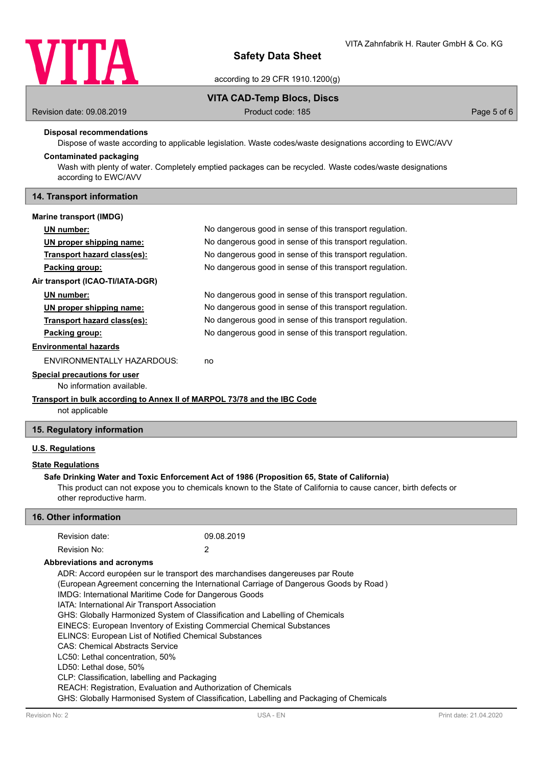

according to 29 CFR 1910.1200(g)

### **VITA CAD-Temp Blocs, Discs**

Revision date: 09.08.2019 **Product code: 185** Product code: 185 **Page 5 of 6** Page 5 of 6

#### **Disposal recommendations**

Dispose of waste according to applicable legislation. Waste codes/waste designations according to EWC/AVV

### **Contaminated packaging**

Wash with plenty of water. Completely emptied packages can be recycled. Waste codes/waste designations according to EWC/AVV

### **14. Transport information**

#### **Marine transport (IMDG)**

| UN number:                        | No dangerous good in sense of this transport regulation. |
|-----------------------------------|----------------------------------------------------------|
| UN proper shipping name:          | No dangerous good in sense of this transport regulation. |
| Transport hazard class(es):       | No dangerous good in sense of this transport regulation. |
| Packing group:                    | No dangerous good in sense of this transport regulation. |
| Air transport (ICAO-TI/IATA-DGR)  |                                                          |
| UN number:                        | No dangerous good in sense of this transport regulation. |
| UN proper shipping name:          | No dangerous good in sense of this transport regulation. |
| Transport hazard class(es):       | No dangerous good in sense of this transport regulation. |
| Packing group:                    | No dangerous good in sense of this transport regulation. |
| <b>Environmental hazards</b>      |                                                          |
| <b>ENVIRONMENTALLY HAZARDOUS:</b> | no                                                       |
|                                   |                                                          |

#### **Special precautions for user**

No information available.

### **Transport in bulk according to Annex II of MARPOL 73/78 and the IBC Code**

not applicable

### **15. Regulatory information**

### **U.S. Regulations**

### **State Regulations**

### **Safe Drinking Water and Toxic Enforcement Act of 1986 (Proposition 65, State of California)**

This product can not expose you to chemicals known to the State of California to cause cancer, birth defects or other reproductive harm.

### **16. Other information**

| Revision date: | 09.08.2019 |
|----------------|------------|
| Revision No:   |            |

#### **Abbreviations and acronyms**

ADR: Accord européen sur le transport des marchandises dangereuses par Route (European Agreement concerning the International Carriage of Dangerous Goods by Road ) IMDG: International Maritime Code for Dangerous Goods IATA: International Air Transport Association GHS: Globally Harmonized System of Classification and Labelling of Chemicals EINECS: European Inventory of Existing Commercial Chemical Substances ELINCS: European List of Notified Chemical Substances CAS: Chemical Abstracts Service LC50: Lethal concentration, 50% LD50: Lethal dose, 50% CLP: Classification, labelling and Packaging REACH: Registration, Evaluation and Authorization of Chemicals GHS: Globally Harmonised System of Classification, Labelling and Packaging of Chemicals